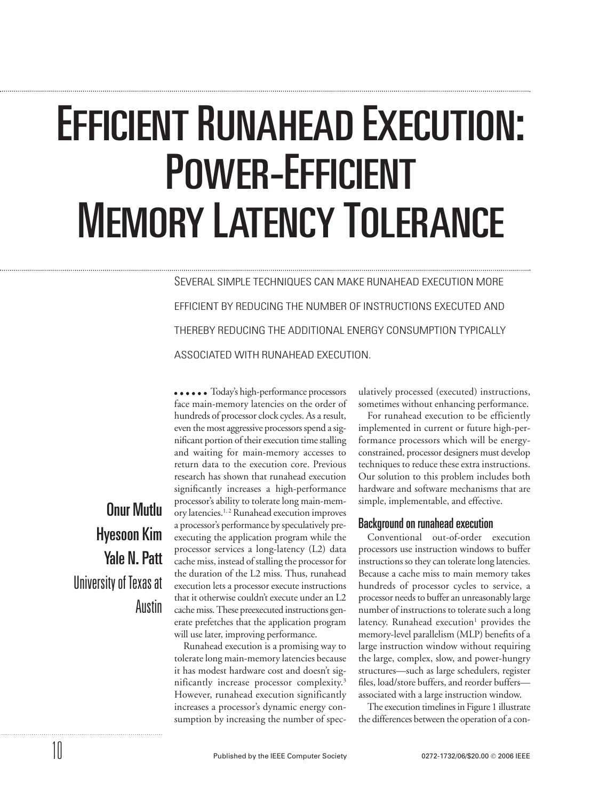## EFFICIENT RUNAHEAD EXECUTION: POWER-EFFICIENT MEMORY LATENCY TOLERANCE

SEVERAL SIMPLE TECHNIQUES CAN MAKE RUNAHEAD EXECUTION MORE EFFICIENT BY REDUCING THE NUMBER OF INSTRUCTIONS EXECUTED AND THEREBY REDUCING THE ADDITIONAL ENERGY CONSUMPTION TYPICALLY ASSOCIATED WITH RUNAHEAD EXECUTION.

•••••• Today's high-performance processors face main-memory latencies on the order of hundreds of processor clock cycles. As a result, even the most aggressive processors spend a significant portion of their execution time stalling and waiting for main-memory accesses to return data to the execution core. Previous research has shown that runahead execution significantly increases a high-performance processor's ability to tolerate long main-memory latencies.<sup>1,2</sup> Runahead execution improves a processor's performance by speculatively preexecuting the application program while the processor services a long-latency (L2) data cache miss, instead of stalling the processor for the duration of the L2 miss. Thus, runahead execution lets a processor execute instructions that it otherwise couldn't execute under an L2 cache miss. These preexecuted instructions generate prefetches that the application program will use later, improving performance.

Runahead execution is a promising way to tolerate long main-memory latencies because it has modest hardware cost and doesn't significantly increase processor complexity.3 However, runahead execution significantly increases a processor's dynamic energy consumption by increasing the number of speculatively processed (executed) instructions, sometimes without enhancing performance.

For runahead execution to be efficiently implemented in current or future high-performance processors which will be energyconstrained, processor designers must develop techniques to reduce these extra instructions. Our solution to this problem includes both hardware and software mechanisms that are simple, implementable, and effective.

#### Background on runahead execution

Conventional out-of-order execution processors use instruction windows to buffer instructions so they can tolerate long latencies. Because a cache miss to main memory takes hundreds of processor cycles to service, a processor needs to buffer an unreasonably large number of instructions to tolerate such a long latency. Runahead execution<sup>1</sup> provides the memory-level parallelism (MLP) benefits of a large instruction window without requiring the large, complex, slow, and power-hungry structures—such as large schedulers, register files, load/store buffers, and reorder buffers associated with a large instruction window.

The execution timelines in Figure 1 illustrate the differences between the operation of a con-

Onur Mutlu Hyesoon Kim Yale N. Patt University of Texas at Austin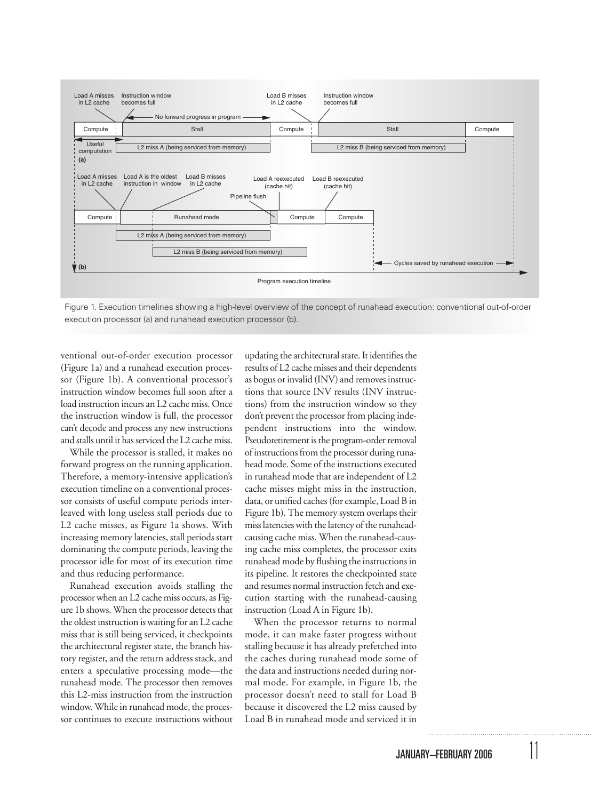

Figure 1. Execution timelines showing a high-level overview of the concept of runahead execution: conventional out-of-order execution processor (a) and runahead execution processor (b).

ventional out-of-order execution processor (Figure 1a) and a runahead execution processor (Figure 1b). A conventional processor's instruction window becomes full soon after a load instruction incurs an L2 cache miss. Once the instruction window is full, the processor can't decode and process any new instructions and stalls until it has serviced the L2 cache miss.

While the processor is stalled, it makes no forward progress on the running application. Therefore, a memory-intensive application's execution timeline on a conventional processor consists of useful compute periods interleaved with long useless stall periods due to L2 cache misses, as Figure 1a shows. With increasing memory latencies, stall periods start dominating the compute periods, leaving the processor idle for most of its execution time and thus reducing performance.

Runahead execution avoids stalling the processor when an L2 cache miss occurs, as Figure 1b shows. When the processor detects that the oldest instruction is waiting for an L2 cache miss that is still being serviced, it checkpoints the architectural register state, the branch history register, and the return address stack, and enters a speculative processing mode—the runahead mode. The processor then removes this L2-miss instruction from the instruction window. While in runahead mode, the processor continues to execute instructions without updating the architectural state. It identifies the results of L2 cache misses and their dependents as bogus or invalid (INV) and removes instructions that source INV results (INV instructions) from the instruction window so they don't prevent the processor from placing independent instructions into the window. Pseudoretirement is the program-order removal of instructions from the processor during runahead mode. Some of the instructions executed in runahead mode that are independent of L2 cache misses might miss in the instruction, data, or unified caches (for example, Load B in Figure 1b). The memory system overlaps their miss latencies with the latency of the runaheadcausing cache miss. When the runahead-causing cache miss completes, the processor exits runahead mode by flushing the instructions in its pipeline. It restores the checkpointed state and resumes normal instruction fetch and execution starting with the runahead-causing instruction (Load A in Figure 1b).

When the processor returns to normal mode, it can make faster progress without stalling because it has already prefetched into the caches during runahead mode some of the data and instructions needed during normal mode. For example, in Figure 1b, the processor doesn't need to stall for Load B because it discovered the L2 miss caused by Load B in runahead mode and serviced it in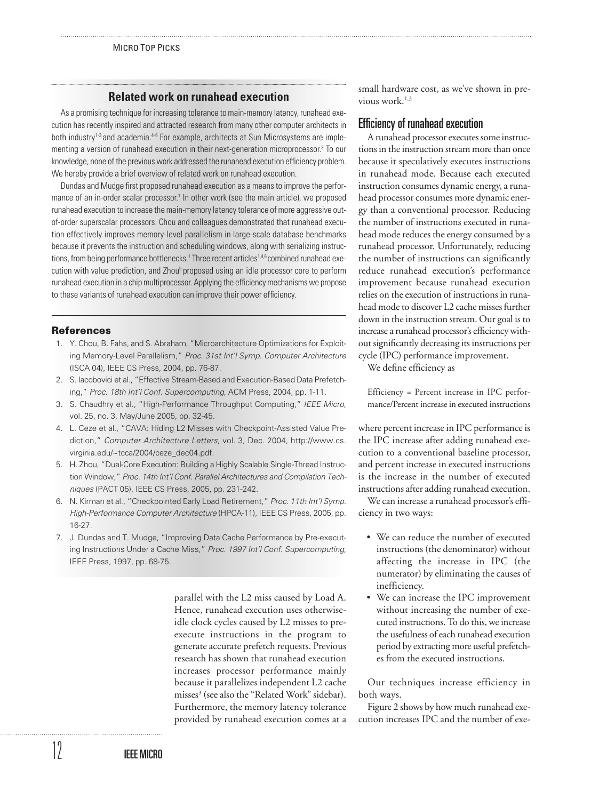#### **Related work on runahead execution**

As a promising technique for increasing tolerance to main-memory latency, runahead execution has recently inspired and attracted research from many other computer architects in both industry<sup>1-3</sup> and academia.<sup>4-6</sup> For example, architects at Sun Microsystems are implementing a version of runahead execution in their next-generation microprocessor.<sup>3</sup> To our knowledge, none of the previous work addressed the runahead execution efficiency problem. We hereby provide a brief overview of related work on runahead execution.

Dundas and Mudge first proposed runahead execution as a means to improve the performance of an in-order scalar processor.<sup>7</sup> In other work (see the main article), we proposed runahead execution to increase the main-memory latency tolerance of more aggressive outof-order superscalar processors. Chou and colleagues demonstrated that runahead execution effectively improves memory-level parallelism in large-scale database benchmarks because it prevents the instruction and scheduling windows, along with serializing instructions, from being performance bottlenecks.<sup>1</sup> Three recent articles<sup>1,4,6</sup> combined runahead execution with value prediction, and Zhou<sup>5</sup> proposed using an idle processor core to perform runahead execution in a chip multiprocessor. Applying the efficiency mechanisms we propose to these variants of runahead execution can improve their power efficiency.

#### **References**

- 1. Y. Chou, B. Fahs, and S. Abraham, "Microarchitecture Optimizations for Exploiting Memory-Level Parallelism," Proc. 31st Int'l Symp. Computer Architecture (ISCA 04), IEEE CS Press, 2004, pp. 76-87.
- 2. S. Iacobovici et al., "Effective Stream-Based and Execution-Based Data Prefetching," Proc. 18th Int'l Conf. Supercomputing, ACM Press, 2004, pp. 1-11.
- 3. S. Chaudhry et al., "High-Performance Throughput Computing," IEEE Micro, vol. 25, no. 3, May/June 2005, pp. 32-45.
- 4. L. Ceze et al., "CAVA: Hiding L2 Misses with Checkpoint-Assisted Value Prediction," Computer Architecture Letters, vol. 3, Dec. 2004, http://www.cs. virginia.edu/~tcca/2004/ceze\_dec04.pdf.
- 5. H. Zhou, "Dual-Core Execution: Building a Highly Scalable Single-Thread Instruction Window," Proc. 14th Int'l Conf. Parallel Architectures and Compilation Techniques (PACT 05), IEEE CS Press, 2005, pp. 231-242.
- 6. N. Kirman et al., "Checkpointed Early Load Retirement," Proc. 11th Int'l Symp. High-Performance Computer Architecture (HPCA-11), IEEE CS Press, 2005, pp. 16-27.
- 7. J. Dundas and T. Mudge, "Improving Data Cache Performance by Pre-executing Instructions Under a Cache Miss," Proc. 1997 Int'l Conf. Supercomputing, IEEE Press, 1997, pp. 68-75.

parallel with the L2 miss caused by Load A. Hence, runahead execution uses otherwiseidle clock cycles caused by L2 misses to preexecute instructions in the program to generate accurate prefetch requests. Previous research has shown that runahead execution increases processor performance mainly because it parallelizes independent L2 cache misses<sup>3</sup> (see also the "Related Work" sidebar). Furthermore, the memory latency tolerance provided by runahead execution comes at a small hardware cost, as we've shown in previous work.1,3

#### Efficiency of runahead execution

A runahead processor executes some instructions in the instruction stream more than once because it speculatively executes instructions in runahead mode. Because each executed instruction consumes dynamic energy, a runahead processor consumes more dynamic energy than a conventional processor. Reducing the number of instructions executed in runahead mode reduces the energy consumed by a runahead processor. Unfortunately, reducing the number of instructions can significantly reduce runahead execution's performance improvement because runahead execution relies on the execution of instructions in runahead mode to discover L2 cache misses further down in the instruction stream. Our goal is to increase a runahead processor's efficiency without significantly decreasing its instructions per cycle (IPC) performance improvement.

We define efficiency as

Efficiency = Percent increase in IPC performance/Percent increase in executed instructions

where percent increase in IPC performance is the IPC increase after adding runahead execution to a conventional baseline processor, and percent increase in executed instructions is the increase in the number of executed instructions after adding runahead execution.

We can increase a runahead processor's efficiency in two ways:

- We can reduce the number of executed instructions (the denominator) without affecting the increase in IPC (the numerator) by eliminating the causes of inefficiency.
- We can increase the IPC improvement without increasing the number of executed instructions. To do this, we increase the usefulness of each runahead execution period by extracting more useful prefetches from the executed instructions.

Our techniques increase efficiency in both ways.

Figure 2 shows by how much runahead execution increases IPC and the number of exe-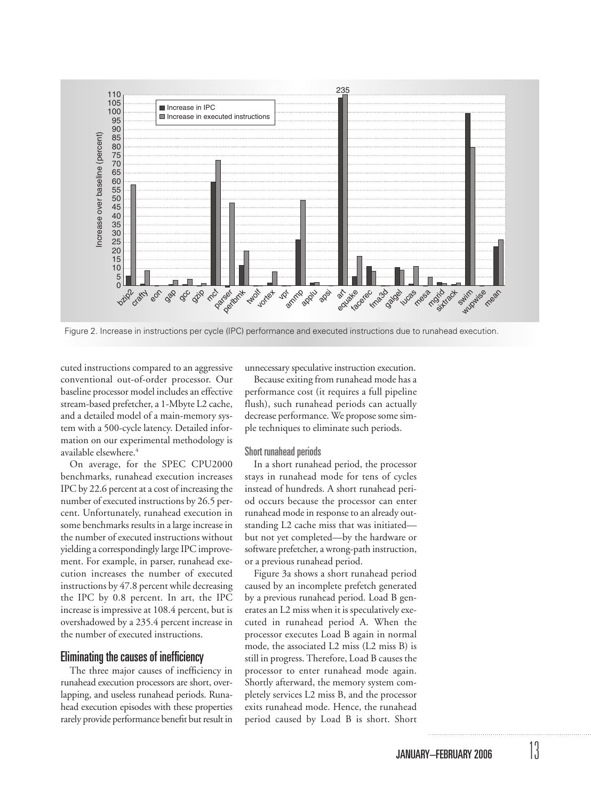

Figure 2. Increase in instructions per cycle (IPC) performance and executed instructions due to runahead execution.

cuted instructions compared to an aggressive conventional out-of-order processor. Our baseline processor model includes an effective stream-based prefetcher, a 1-Mbyte L2 cache, and a detailed model of a main-memory system with a 500-cycle latency. Detailed information on our experimental methodology is available elsewhere.4

On average, for the SPEC CPU2000 benchmarks, runahead execution increases IPC by 22.6 percent at a cost of increasing the number of executed instructions by 26.5 percent. Unfortunately, runahead execution in some benchmarks results in a large increase in the number of executed instructions without yielding a correspondingly large IPC improvement. For example, in parser, runahead execution increases the number of executed instructions by 47.8 percent while decreasing the IPC by 0.8 percent. In art, the IPC increase is impressive at 108.4 percent, but is overshadowed by a 235.4 percent increase in the number of executed instructions.

#### Eliminating the causes of inefficiency

The three major causes of inefficiency in runahead execution processors are short, overlapping, and useless runahead periods. Runahead execution episodes with these properties rarely provide performance benefit but result in

unnecessary speculative instruction execution.

Because exiting from runahead mode has a performance cost (it requires a full pipeline flush), such runahead periods can actually decrease performance. We propose some simple techniques to eliminate such periods.

#### Short runahead periods

In a short runahead period, the processor stays in runahead mode for tens of cycles instead of hundreds. A short runahead period occurs because the processor can enter runahead mode in response to an already outstanding L2 cache miss that was initiated but not yet completed—by the hardware or software prefetcher, a wrong-path instruction, or a previous runahead period.

Figure 3a shows a short runahead period caused by an incomplete prefetch generated by a previous runahead period. Load B generates an L2 miss when it is speculatively executed in runahead period A. When the processor executes Load B again in normal mode, the associated L2 miss (L2 miss B) is still in progress. Therefore, Load B causes the processor to enter runahead mode again. Shortly afterward, the memory system completely services L2 miss B, and the processor exits runahead mode. Hence, the runahead period caused by Load B is short. Short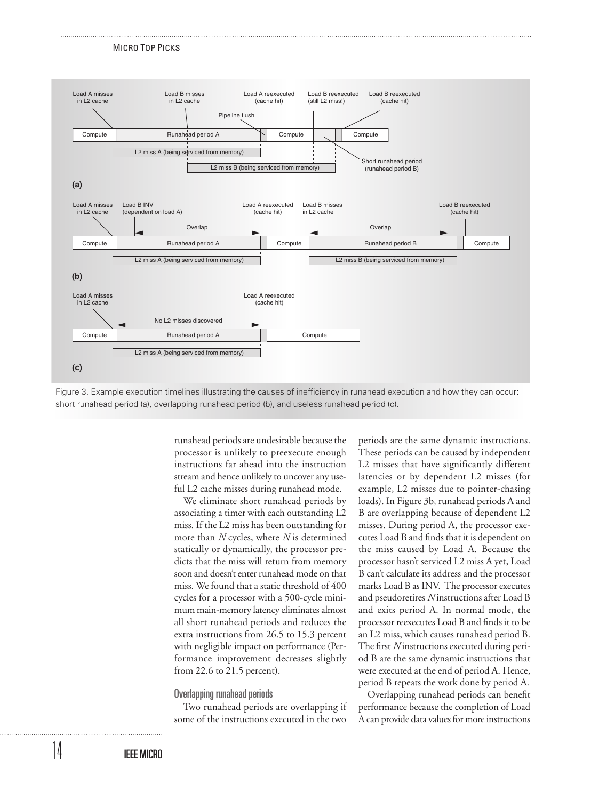#### MICRO TOP PICKS



Figure 3. Example execution timelines illustrating the causes of inefficiency in runahead execution and how they can occur: short runahead period (a), overlapping runahead period (b), and useless runahead period (c).

runahead periods are undesirable because the processor is unlikely to preexecute enough instructions far ahead into the instruction stream and hence unlikely to uncover any useful L2 cache misses during runahead mode.

We eliminate short runahead periods by associating a timer with each outstanding L2 miss. If the L2 miss has been outstanding for more than *N* cycles, where *N* is determined statically or dynamically, the processor predicts that the miss will return from memory soon and doesn't enter runahead mode on that miss. We found that a static threshold of 400 cycles for a processor with a 500-cycle minimum main-memory latency eliminates almost all short runahead periods and reduces the extra instructions from 26.5 to 15.3 percent with negligible impact on performance (Performance improvement decreases slightly from 22.6 to 21.5 percent).

#### Overlapping runahead periods

Two runahead periods are overlapping if some of the instructions executed in the two periods are the same dynamic instructions. These periods can be caused by independent L2 misses that have significantly different latencies or by dependent L2 misses (for example, L2 misses due to pointer-chasing loads). In Figure 3b, runahead periods A and B are overlapping because of dependent L2 misses. During period A, the processor executes Load B and finds that it is dependent on the miss caused by Load A. Because the processor hasn't serviced L2 miss A yet, Load B can't calculate its address and the processor marks Load B as INV. The processor executes and pseudoretires *N* instructions after Load B and exits period A. In normal mode, the processor reexecutes Load B and finds it to be an L2 miss, which causes runahead period B. The first *N* instructions executed during period B are the same dynamic instructions that were executed at the end of period A. Hence, period B repeats the work done by period A.

Overlapping runahead periods can benefit performance because the completion of Load A can provide data values for more instructions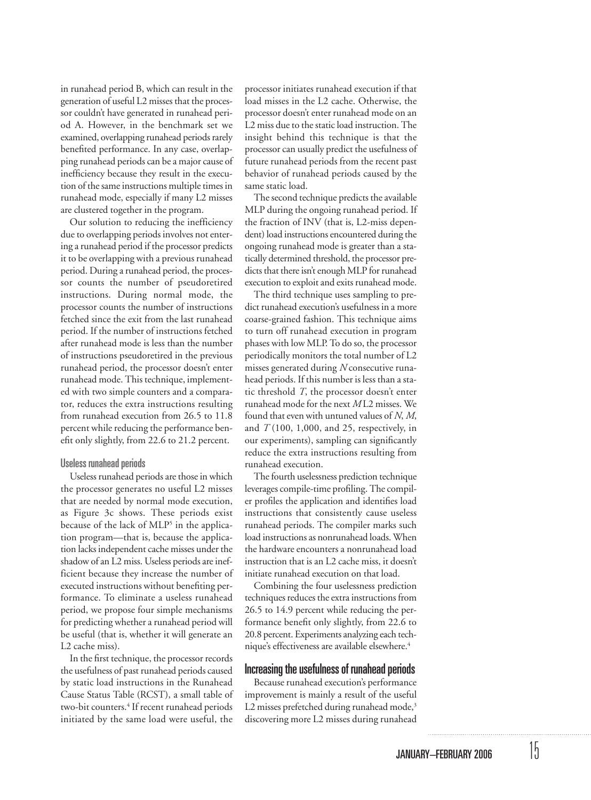in runahead period B, which can result in the generation of useful L2 misses that the processor couldn't have generated in runahead period A. However, in the benchmark set we examined, overlapping runahead periods rarely benefited performance. In any case, overlapping runahead periods can be a major cause of inefficiency because they result in the execution of the same instructions multiple times in runahead mode, especially if many L2 misses are clustered together in the program.

Our solution to reducing the inefficiency due to overlapping periods involves not entering a runahead period if the processor predicts it to be overlapping with a previous runahead period. During a runahead period, the processor counts the number of pseudoretired instructions. During normal mode, the processor counts the number of instructions fetched since the exit from the last runahead period. If the number of instructions fetched after runahead mode is less than the number of instructions pseudoretired in the previous runahead period, the processor doesn't enter runahead mode. This technique, implemented with two simple counters and a comparator, reduces the extra instructions resulting from runahead execution from 26.5 to 11.8 percent while reducing the performance benefit only slightly, from 22.6 to 21.2 percent.

#### Useless runahead periods

Useless runahead periods are those in which the processor generates no useful L2 misses that are needed by normal mode execution, as Figure 3c shows. These periods exist because of the lack of MLP<sup>5</sup> in the application program—that is, because the application lacks independent cache misses under the shadow of an L2 miss. Useless periods are inefficient because they increase the number of executed instructions without benefiting performance. To eliminate a useless runahead period, we propose four simple mechanisms for predicting whether a runahead period will be useful (that is, whether it will generate an L2 cache miss).

In the first technique, the processor records the usefulness of past runahead periods caused by static load instructions in the Runahead Cause Status Table (RCST), a small table of two-bit counters.<sup>4</sup> If recent runahead periods initiated by the same load were useful, the processor initiates runahead execution if that load misses in the L2 cache. Otherwise, the processor doesn't enter runahead mode on an L2 miss due to the static load instruction. The insight behind this technique is that the processor can usually predict the usefulness of future runahead periods from the recent past behavior of runahead periods caused by the same static load.

The second technique predicts the available MLP during the ongoing runahead period. If the fraction of INV (that is, L2-miss dependent) load instructions encountered during the ongoing runahead mode is greater than a statically determined threshold, the processor predicts that there isn't enough MLP for runahead execution to exploit and exits runahead mode.

The third technique uses sampling to predict runahead execution's usefulness in a more coarse-grained fashion. This technique aims to turn off runahead execution in program phases with low MLP. To do so, the processor periodically monitors the total number of L2 misses generated during *N* consecutive runahead periods. If this number is less than a static threshold *T*, the processor doesn't enter runahead mode for the next *M* L2 misses. We found that even with untuned values of *N*, *M*, and  $T(100, 1,000,$  and 25, respectively, in our experiments), sampling can significantly reduce the extra instructions resulting from runahead execution.

The fourth uselessness prediction technique leverages compile-time profiling. The compiler profiles the application and identifies load instructions that consistently cause useless runahead periods. The compiler marks such load instructions as nonrunahead loads. When the hardware encounters a nonrunahead load instruction that is an L2 cache miss, it doesn't initiate runahead execution on that load.

Combining the four uselessness prediction techniques reduces the extra instructions from 26.5 to 14.9 percent while reducing the performance benefit only slightly, from 22.6 to 20.8 percent. Experiments analyzing each technique's effectiveness are available elsewhere.<sup>4</sup>

#### Increasing the usefulness of runahead periods

Because runahead execution's performance improvement is mainly a result of the useful L2 misses prefetched during runahead mode,<sup>3</sup> discovering more L2 misses during runahead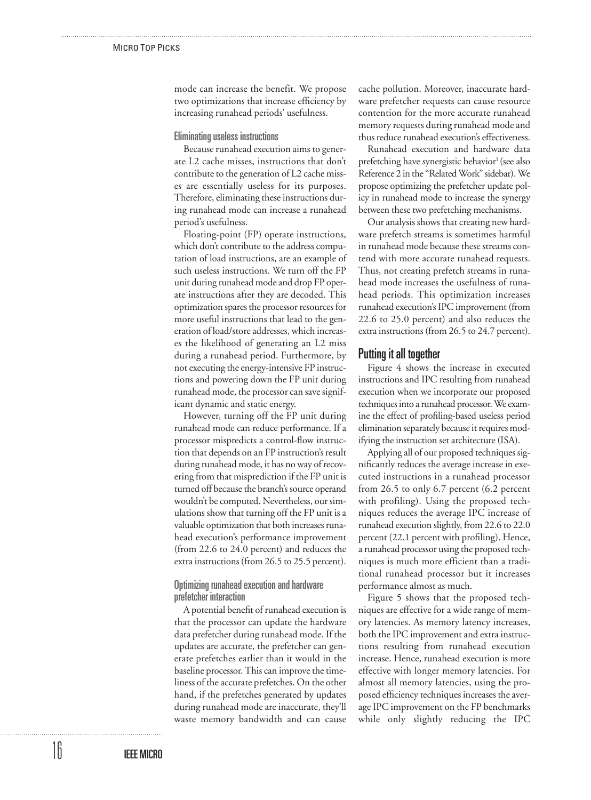mode can increase the benefit. We propose two optimizations that increase efficiency by increasing runahead periods' usefulness.

#### Eliminating useless instructions

Because runahead execution aims to generate L2 cache misses, instructions that don't contribute to the generation of L2 cache misses are essentially useless for its purposes. Therefore, eliminating these instructions during runahead mode can increase a runahead period's usefulness.

Floating-point (FP) operate instructions, which don't contribute to the address computation of load instructions, are an example of such useless instructions. We turn off the FP unit during runahead mode and drop FP operate instructions after they are decoded. This optimization spares the processor resources for more useful instructions that lead to the generation of load/store addresses, which increases the likelihood of generating an L2 miss during a runahead period. Furthermore, by not executing the energy-intensive FP instructions and powering down the FP unit during runahead mode, the processor can save significant dynamic and static energy.

However, turning off the FP unit during runahead mode can reduce performance. If a processor mispredicts a control-flow instruction that depends on an FP instruction's result during runahead mode, it has no way of recovering from that misprediction if the FP unit is turned off because the branch's source operand wouldn't be computed. Nevertheless, our simulations show that turning off the FP unit is a valuable optimization that both increases runahead execution's performance improvement (from 22.6 to 24.0 percent) and reduces the extra instructions (from 26.5 to 25.5 percent).

#### Optimizing runahead execution and hardware prefetcher interaction

A potential benefit of runahead execution is that the processor can update the hardware data prefetcher during runahead mode. If the updates are accurate, the prefetcher can generate prefetches earlier than it would in the baseline processor. This can improve the timeliness of the accurate prefetches. On the other hand, if the prefetches generated by updates during runahead mode are inaccurate, they'll waste memory bandwidth and can cause cache pollution. Moreover, inaccurate hardware prefetcher requests can cause resource contention for the more accurate runahead memory requests during runahead mode and thus reduce runahead execution's effectiveness.

Runahead execution and hardware data prefetching have synergistic behavior<sup>1</sup> (see also Reference 2 in the "Related Work" sidebar). We propose optimizing the prefetcher update policy in runahead mode to increase the synergy between these two prefetching mechanisms.

Our analysis shows that creating new hardware prefetch streams is sometimes harmful in runahead mode because these streams contend with more accurate runahead requests. Thus, not creating prefetch streams in runahead mode increases the usefulness of runahead periods. This optimization increases runahead execution's IPC improvement (from 22.6 to 25.0 percent) and also reduces the extra instructions (from 26.5 to 24.7 percent).

#### Putting it all together

Figure 4 shows the increase in executed instructions and IPC resulting from runahead execution when we incorporate our proposed techniques into a runahead processor. We examine the effect of profiling-based useless period elimination separately because it requires modifying the instruction set architecture (ISA).

Applying all of our proposed techniques significantly reduces the average increase in executed instructions in a runahead processor from 26.5 to only 6.7 percent (6.2 percent with profiling). Using the proposed techniques reduces the average IPC increase of runahead execution slightly, from 22.6 to 22.0 percent (22.1 percent with profiling). Hence, a runahead processor using the proposed techniques is much more efficient than a traditional runahead processor but it increases performance almost as much.

Figure 5 shows that the proposed techniques are effective for a wide range of memory latencies. As memory latency increases, both the IPC improvement and extra instructions resulting from runahead execution increase. Hence, runahead execution is more effective with longer memory latencies. For almost all memory latencies, using the proposed efficiency techniques increases the average IPC improvement on the FP benchmarks while only slightly reducing the IPC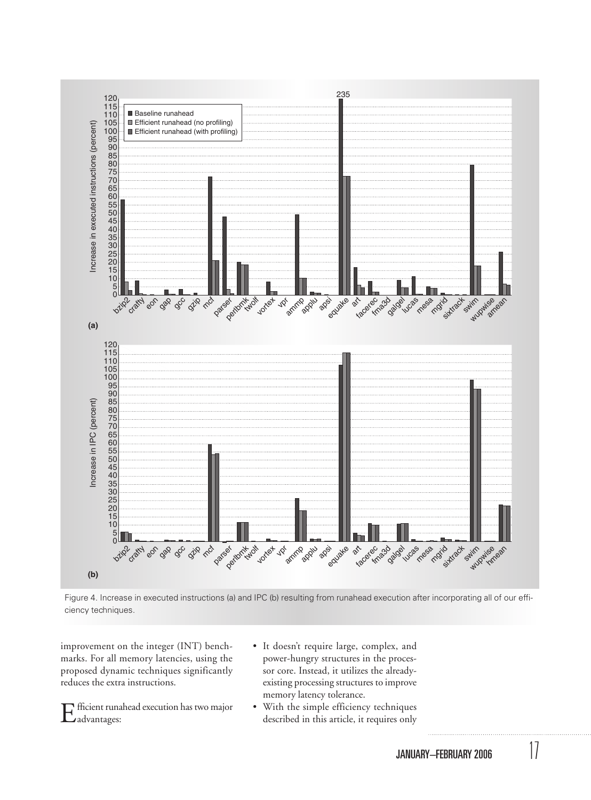

Figure 4. Increase in executed instructions (a) and IPC (b) resulting from runahead execution after incorporating all of our efficiency techniques.

improvement on the integer (INT) benchmarks. For all memory latencies, using the proposed dynamic techniques significantly reduces the extra instructions.

Efficient runahead execution has two major advantages:

- It doesn't require large, complex, and power-hungry structures in the processor core. Instead, it utilizes the alreadyexisting processing structures to improve memory latency tolerance.
- With the simple efficiency techniques described in this article, it requires only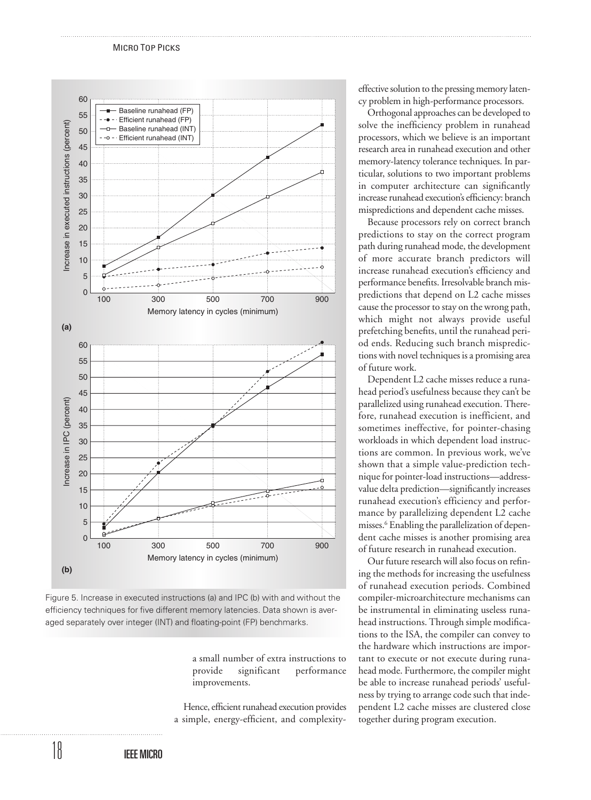#### MICRO TOP PICKS



Figure 5. Increase in executed instructions (a) and IPC (b) with and without the efficiency techniques for five different memory latencies. Data shown is averaged separately over integer (INT) and floating-point (FP) benchmarks.

a small number of extra instructions to provide significant performance improvements.

Hence, efficient runahead execution provides a simple, energy-efficient, and complexityeffective solution to the pressing memory latency problem in high-performance processors.

Orthogonal approaches can be developed to solve the inefficiency problem in runahead processors, which we believe is an important research area in runahead execution and other memory-latency tolerance techniques. In particular, solutions to two important problems in computer architecture can significantly increase runahead execution's efficiency: branch mispredictions and dependent cache misses.

Because processors rely on correct branch predictions to stay on the correct program path during runahead mode, the development of more accurate branch predictors will increase runahead execution's efficiency and performance benefits. Irresolvable branch mispredictions that depend on L2 cache misses cause the processor to stay on the wrong path, which might not always provide useful prefetching benefits, until the runahead period ends. Reducing such branch mispredictions with novel techniques is a promising area of future work.

Dependent L2 cache misses reduce a runahead period's usefulness because they can't be parallelized using runahead execution. Therefore, runahead execution is inefficient, and sometimes ineffective, for pointer-chasing workloads in which dependent load instructions are common. In previous work, we've shown that a simple value-prediction technique for pointer-load instructions—addressvalue delta prediction—significantly increases runahead execution's efficiency and performance by parallelizing dependent L2 cache misses.6 Enabling the parallelization of dependent cache misses is another promising area of future research in runahead execution.

Our future research will also focus on refining the methods for increasing the usefulness of runahead execution periods. Combined compiler-microarchitecture mechanisms can be instrumental in eliminating useless runahead instructions. Through simple modifications to the ISA, the compiler can convey to the hardware which instructions are important to execute or not execute during runahead mode. Furthermore, the compiler might be able to increase runahead periods' usefulness by trying to arrange code such that independent L2 cache misses are clustered close together during program execution.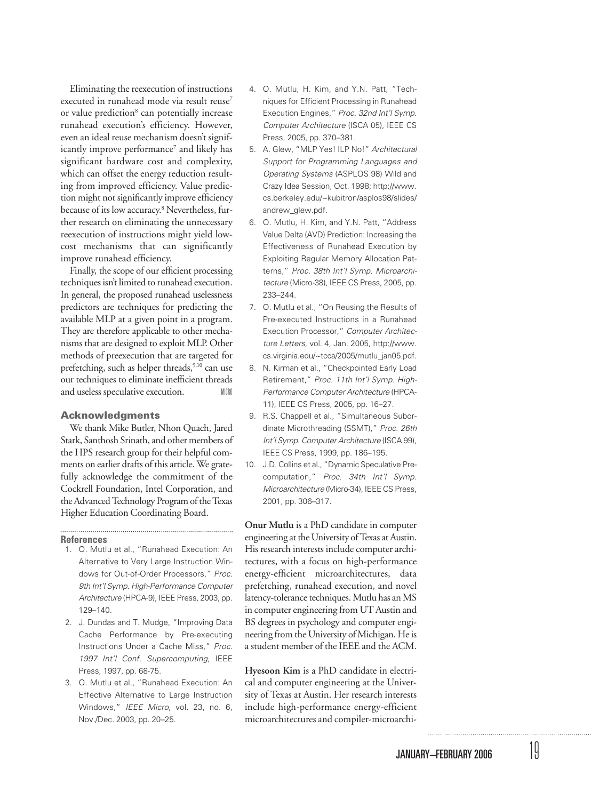Eliminating the reexecution of instructions executed in runahead mode via result reuse<sup>7</sup> or value prediction<sup>8</sup> can potentially increase runahead execution's efficiency. However, even an ideal reuse mechanism doesn't significantly improve performance<sup>7</sup> and likely has significant hardware cost and complexity, which can offset the energy reduction resulting from improved efficiency. Value prediction might not significantly improve efficiency because of its low accuracy.<sup>8</sup> Nevertheless, further research on eliminating the unnecessary reexecution of instructions might yield lowcost mechanisms that can significantly improve runahead efficiency.

Finally, the scope of our efficient processing techniques isn't limited to runahead execution. In general, the proposed runahead uselessness predictors are techniques for predicting the available MLP at a given point in a program. They are therefore applicable to other mechanisms that are designed to exploit MLP. Other methods of preexecution that are targeted for prefetching, such as helper threads,<sup>9,10</sup> can use our techniques to eliminate inefficient threads and useless speculative execution. MICRO

#### **Acknowledgments**

We thank Mike Butler, Nhon Quach, Jared Stark, Santhosh Srinath, and other members of the HPS research group for their helpful comments on earlier drafts of this article. We gratefully acknowledge the commitment of the Cockrell Foundation, Intel Corporation, and the Advanced Technology Program of the Texas Higher Education Coordinating Board.

#### **References**

1. O. Mutlu et al., "Runahead Execution: An Alternative to Very Large Instruction Windows for Out-of-Order Processors," Proc. 9th Int'l Symp. High-Performance Computer Architecture (HPCA-9), IEEE Press, 2003, pp. 129–140.

- 2. J. Dundas and T. Mudge, "Improving Data Cache Performance by Pre-executing Instructions Under a Cache Miss," Proc. 1997 Int'l Conf. Supercomputing, IEEE Press, 1997, pp. 68-75.
- 3. O. Mutlu et al., "Runahead Execution: An Effective Alternative to Large Instruction Windows," IEEE Micro, vol. 23, no. 6, Nov./Dec. 2003, pp. 20–25.
- 4. O. Mutlu, H. Kim, and Y.N. Patt, "Techniques for Efficient Processing in Runahead Execution Engines," Proc. 32nd Int'l Symp. Computer Architecture (ISCA 05), IEEE CS Press, 2005, pp. 370–381.
- 5. A. Glew, "MLP Yes! ILP No!" Architectural Support for Programming Languages and Operating Systems (ASPLOS 98) Wild and Crazy Idea Session, Oct. 1998; http://www. cs.berkeley.edu/~kubitron/asplos98/slides/ andrew\_glew.pdf.
- 6. O. Mutlu, H. Kim, and Y.N. Patt, "Address Value Delta (AVD) Prediction: Increasing the Effectiveness of Runahead Execution by Exploiting Regular Memory Allocation Patterns," Proc. 38th Int'l Symp. Microarchitecture (Micro-38), IEEE CS Press, 2005, pp. 233–244.
- 7. O. Mutlu et al., "On Reusing the Results of Pre-executed Instructions in a Runahead Execution Processor," Computer Architecture Letters, vol. 4, Jan. 2005, http://www. cs.virginia.edu/~tcca/2005/mutlu\_jan05.pdf.
- 8. N. Kirman et al., "Checkpointed Early Load Retirement," Proc. 11th Int'l Symp. High-Performance Computer Architecture (HPCA-11), IEEE CS Press, 2005, pp. 16–27.
- 9. R.S. Chappell et al., "Simultaneous Subordinate Microthreading (SSMT)," Proc. 26th Int'l Symp. Computer Architecture (ISCA 99), IEEE CS Press, 1999, pp. 186–195.
- 10. J.D. Collins et al., "Dynamic Speculative Precomputation," Proc. 34th Int'l Symp. Microarchitecture (Micro-34), IEEE CS Press, 2001, pp. 306–317.

**Onur Mutlu** is a PhD candidate in computer engineering at the University of Texas at Austin. His research interests include computer architectures, with a focus on high-performance energy-efficient microarchitectures, data prefetching, runahead execution, and novel latency-tolerance techniques. Mutlu has an MS in computer engineering from UT Austin and BS degrees in psychology and computer engineering from the University of Michigan. He is a student member of the IEEE and the ACM.

**Hyesoon Kim** is a PhD candidate in electrical and computer engineering at the University of Texas at Austin. Her research interests include high-performance energy-efficient microarchitectures and compiler-microarchi-